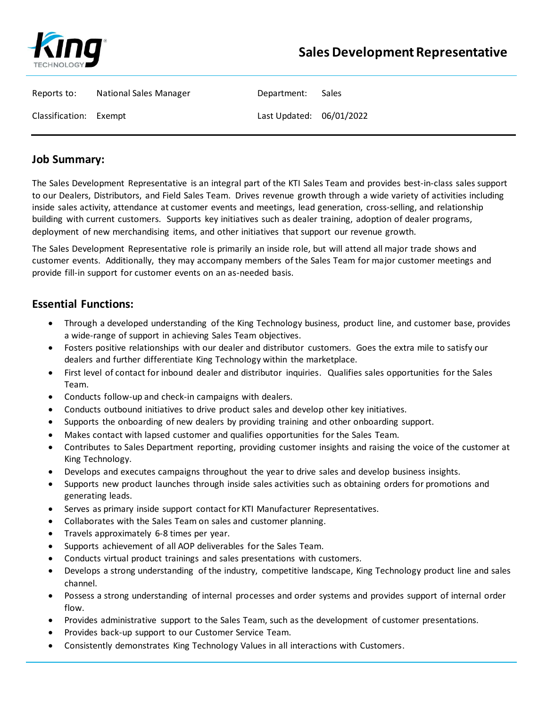

| Reports to:            | <b>National Sales Manager</b> | Department:              | Sales |
|------------------------|-------------------------------|--------------------------|-------|
| Classification: Exempt |                               | Last Updated: 06/01/2022 |       |

## **Job Summary:**

The Sales Development Representative is an integral part of the KTI Sales Team and provides best-in-class sales support to our Dealers, Distributors, and Field Sales Team. Drives revenue growth through a wide variety of activities including inside sales activity, attendance at customer events and meetings, lead generation, cross-selling, and relationship building with current customers. Supports key initiatives such as dealer training, adoption of dealer programs, deployment of new merchandising items, and other initiatives that support our revenue growth.

The Sales Development Representative role is primarily an inside role, but will attend all major trade shows and customer events. Additionally, they may accompany members of the Sales Team for major customer meetings and provide fill-in support for customer events on an as-needed basis.

## **Essential Functions:**

- Through a developed understanding of the King Technology business, product line, and customer base, provides a wide-range of support in achieving Sales Team objectives.
- Fosters positive relationships with our dealer and distributor customers. Goes the extra mile to satisfy our dealers and further differentiate King Technology within the marketplace.
- First level of contact for inbound dealer and distributor inquiries. Qualifies sales opportunities for the Sales Team.
- Conducts follow-up and check-in campaigns with dealers.
- Conducts outbound initiatives to drive product sales and develop other key initiatives.
- Supports the onboarding of new dealers by providing training and other onboarding support.
- Makes contact with lapsed customer and qualifies opportunities for the Sales Team.
- Contributes to Sales Department reporting, providing customer insights and raising the voice of the customer at King Technology.
- Develops and executes campaigns throughout the year to drive sales and develop business insights.
- Supports new product launches through inside sales activities such as obtaining orders for promotions and generating leads.
- Serves as primary inside support contact for KTI Manufacturer Representatives.
- Collaborates with the Sales Team on sales and customer planning.
- Travels approximately 6-8 times per year.
- Supports achievement of all AOP deliverables for the Sales Team.
- Conducts virtual product trainings and sales presentations with customers.
- Develops a strong understanding of the industry, competitive landscape, King Technology product line and sales channel.
- Possess a strong understanding of internal processes and order systems and provides support of internal order flow.
- Provides administrative support to the Sales Team, such as the development of customer presentations.
- Provides back-up support to our Customer Service Team.
- Consistently demonstrates King Technology Values in all interactions with Customers.